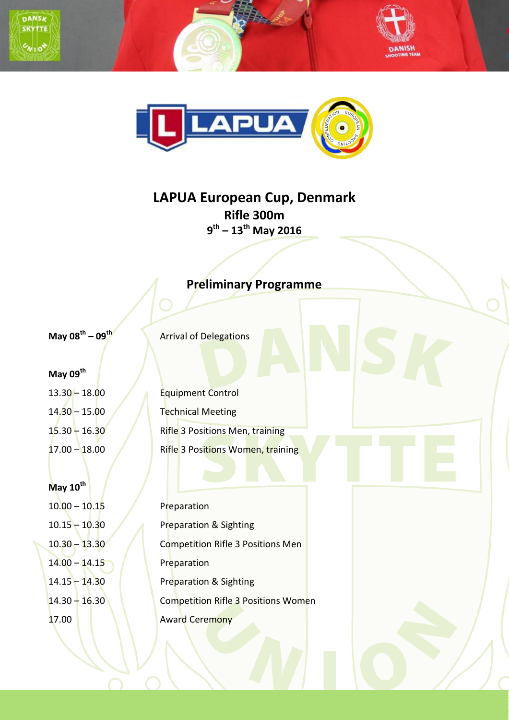



## **LAPUA European Cup, Denmark Rifle 300m 9 th – 13th May 2016**

## **Preliminary Programme**

**May 08th**

**– 09th** Arrival of Delegations

**May 09th**

**May 10th** 10.00 – 10.15 Preparation 14.00 – 14.15 **Preparation** 

13.30 – 18.00 Equipment Control 14.30 – 15.00 Technical Meeting 15.30 – 16.30 Rifle 3 Positions Men, training 17.00 – 18.00 **Rifle 3 Positions Women, training** 

10.15 – 10.30 Preparation & Sighting 10.30 – 13.30 Competition Rifle 3 Positions Men 14.15 – 14.30 Preparation & Sighting 14.30 – 16.30 Competition Rifle 3 Positions Women 17.00 **Award Ceremony**